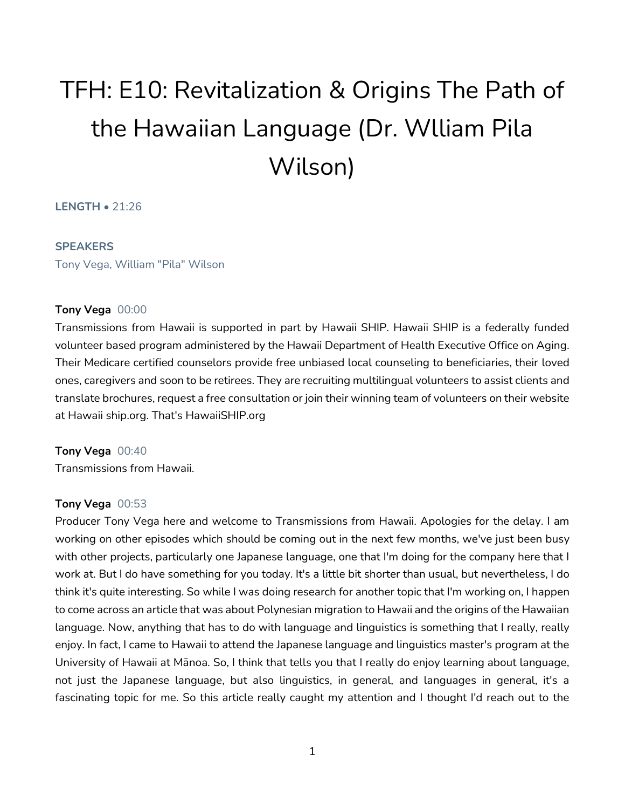# TFH: E10: Revitalization & Origins The Path of the Hawaiian Language (Dr. Wlliam Pila Wilson)

# **LENGTH** • 21:26

#### **SPEAKERS**

Tony Vega, William "Pila" Wilson

## **Tony Vega** 00:00

Transmissions from Hawaii is supported in part by Hawaii SHIP. Hawaii SHIP is a federally funded volunteer based program administered by the Hawaii Department of Health Executive Office on Aging. Their Medicare certified counselors provide free unbiased local counseling to beneficiaries, their loved ones, caregivers and soon to be retirees. They are recruiting multilingual volunteers to assist clients and translate brochures, request a free consultation or join their winning team of volunteers on their website at Hawaii ship.org. That's HawaiiSHIP.org

**Tony Vega** 00:40 Transmissions from Hawaii.

## **Tony Vega** 00:53

Producer Tony Vega here and welcome to Transmissions from Hawaii. Apologies for the delay. I am working on other episodes which should be coming out in the next few months, we've just been busy with other projects, particularly one Japanese language, one that I'm doing for the company here that I work at. But I do have something for you today. It's a little bit shorter than usual, but nevertheless, I do think it's quite interesting. So while I was doing research for another topic that I'm working on, I happen to come across an article that was about Polynesian migration to Hawaii and the origins of the Hawaiian language. Now, anything that has to do with language and linguistics is something that I really, really enjoy. In fact, I came to Hawaii to attend the Japanese language and linguistics master's program at the University of Hawaii at Mānoa. So, I think that tells you that I really do enjoy learning about language, not just the Japanese language, but also linguistics, in general, and languages in general, it's a fascinating topic for me. So this article really caught my attention and I thought I'd reach out to the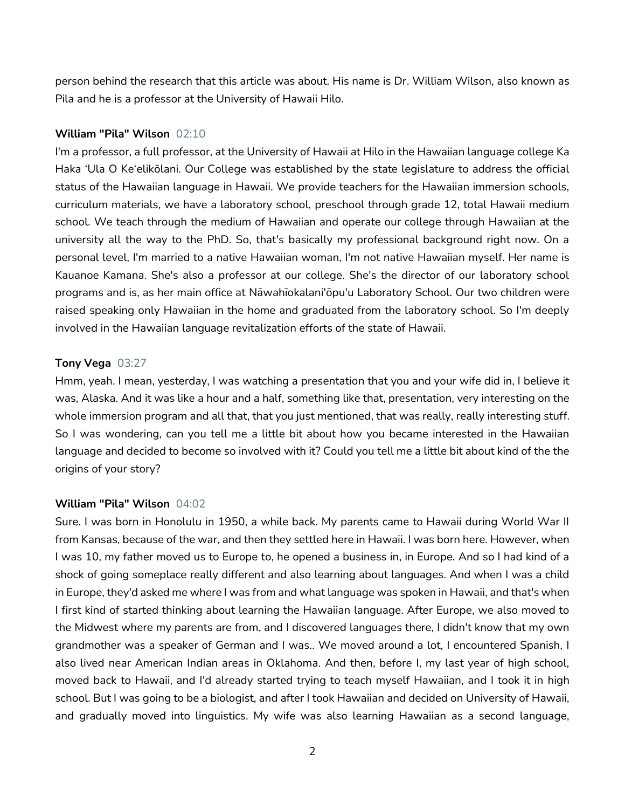person behind the research that this article was about. His name is Dr. William Wilson, also known as Pila and he is a professor at the University of Hawaii Hilo.

#### **William "Pila" Wilson** 02:10

I'm a professor, a full professor, at the University of Hawaii at Hilo in the Hawaiian language college Ka Haka 'Ula O Ke'elikōlani. Our College was established by the state legislature to address the official status of the Hawaiian language in Hawaii. We provide teachers for the Hawaiian immersion schools, curriculum materials, we have a laboratory school, preschool through grade 12, total Hawaii medium school. We teach through the medium of Hawaiian and operate our college through Hawaiian at the university all the way to the PhD. So, that's basically my professional background right now. On a personal level, I'm married to a native Hawaiian woman, I'm not native Hawaiian myself. Her name is Kauanoe Kamana. She's also a professor at our college. She's the director of our laboratory school programs and is, as her main office at Nāwahīokalani'ōpu'u Laboratory School. Our two children were raised speaking only Hawaiian in the home and graduated from the laboratory school. So I'm deeply involved in the Hawaiian language revitalization efforts of the state of Hawaii.

#### **Tony Vega** 03:27

Hmm, yeah. I mean, yesterday, I was watching a presentation that you and your wife did in, I believe it was, Alaska. And it was like a hour and a half, something like that, presentation, very interesting on the whole immersion program and all that, that you just mentioned, that was really, really interesting stuff. So I was wondering, can you tell me a little bit about how you became interested in the Hawaiian language and decided to become so involved with it? Could you tell me a little bit about kind of the the origins of your story?

# **William "Pila" Wilson** 04:02

Sure. I was born in Honolulu in 1950, a while back. My parents came to Hawaii during World War II from Kansas, because of the war, and then they settled here in Hawaii. I was born here. However, when I was 10, my father moved us to Europe to, he opened a business in, in Europe. And so I had kind of a shock of going someplace really different and also learning about languages. And when I was a child in Europe, they'd asked me where I was from and what language was spoken in Hawaii, and that's when I first kind of started thinking about learning the Hawaiian language. After Europe, we also moved to the Midwest where my parents are from, and I discovered languages there, I didn't know that my own grandmother was a speaker of German and I was.. We moved around a lot, I encountered Spanish, I also lived near American Indian areas in Oklahoma. And then, before I, my last year of high school, moved back to Hawaii, and I'd already started trying to teach myself Hawaiian, and I took it in high school. But I was going to be a biologist, and after I took Hawaiian and decided on University of Hawaii, and gradually moved into linguistics. My wife was also learning Hawaiian as a second language,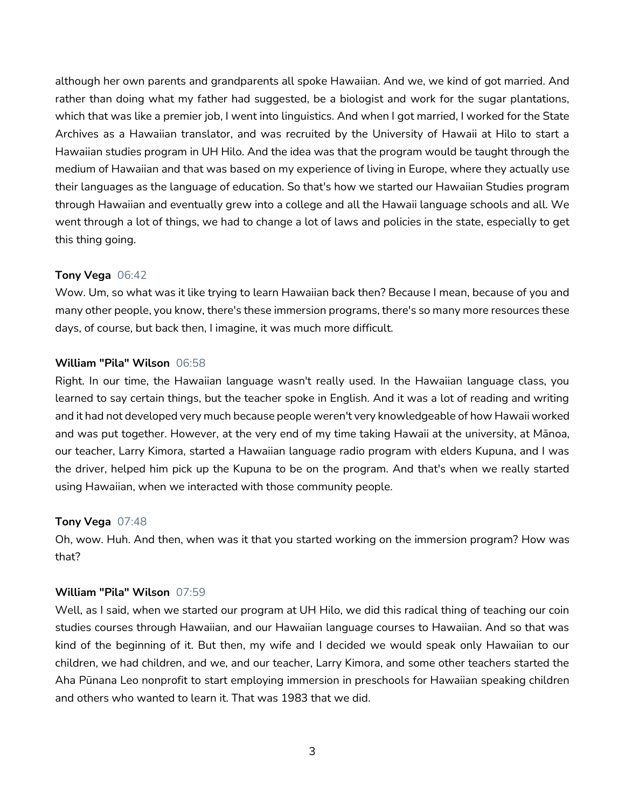although her own parents and grandparents all spoke Hawaiian. And we, we kind of got married. And rather than doing what my father had suggested, be a biologist and work for the sugar plantations, which that was like a premier job, I went into linguistics. And when I got married, I worked for the State Archives as a Hawaiian translator, and was recruited by the University of Hawaii at Hilo to start a Hawaiian studies program in UH Hilo. And the idea was that the program would be taught through the medium of Hawaiian and that was based on my experience of living in Europe, where they actually use their languages as the language of education. So that's how we started our Hawaiian Studies program through Hawaiian and eventually grew into a college and all the Hawaii language schools and all. We went through a lot of things, we had to change a lot of laws and policies in the state, especially to get this thing going.

## **Tony Vega** 06:42

Wow. Um, so what was it like trying to learn Hawaiian back then? Because I mean, because of you and many other people, you know, there's these immersion programs, there's so many more resources these days, of course, but back then, I imagine, it was much more difficult.

# **William "Pila" Wilson** 06:58

Right. In our time, the Hawaiian language wasn't really used. In the Hawaiian language class, you learned to say certain things, but the teacher spoke in English. And it was a lot of reading and writing and it had not developed very much because people weren't very knowledgeable of how Hawaii worked and was put together. However, at the very end of my time taking Hawaii at the university, at Mānoa, our teacher, Larry Kimora, started a Hawaiian language radio program with elders Kupuna, and I was the driver, helped him pick up the Kupuna to be on the program. And that's when we really started using Hawaiian, when we interacted with those community people.

## **Tony Vega** 07:48

Oh, wow. Huh. And then, when was it that you started working on the immersion program? How was that?

## **William "Pila" Wilson** 07:59

Well, as I said, when we started our program at UH Hilo, we did this radical thing of teaching our coin studies courses through Hawaiian, and our Hawaiian language courses to Hawaiian. And so that was kind of the beginning of it. But then, my wife and I decided we would speak only Hawaiian to our children, we had children, and we, and our teacher, Larry Kimora, and some other teachers started the Aha Pūnana Leo nonprofit to start employing immersion in preschools for Hawaiian speaking children and others who wanted to learn it. That was 1983 that we did.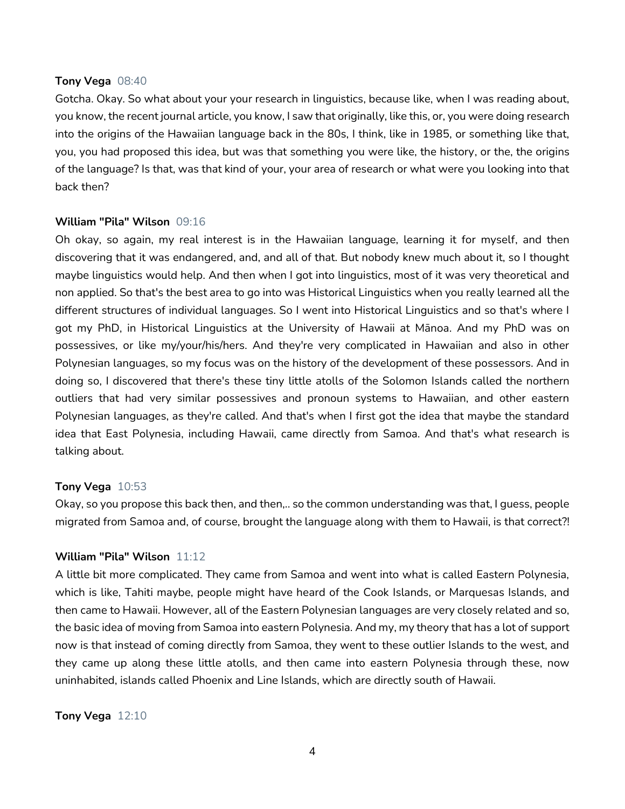#### **Tony Vega** 08:40

Gotcha. Okay. So what about your your research in linguistics, because like, when I was reading about, you know, the recent journal article, you know, I saw that originally, like this, or, you were doing research into the origins of the Hawaiian language back in the 80s, I think, like in 1985, or something like that, you, you had proposed this idea, but was that something you were like, the history, or the, the origins of the language? Is that, was that kind of your, your area of research or what were you looking into that back then?

#### **William "Pila" Wilson** 09:16

Oh okay, so again, my real interest is in the Hawaiian language, learning it for myself, and then discovering that it was endangered, and, and all of that. But nobody knew much about it, so I thought maybe linguistics would help. And then when I got into linguistics, most of it was very theoretical and non applied. So that's the best area to go into was Historical Linguistics when you really learned all the different structures of individual languages. So I went into Historical Linguistics and so that's where I got my PhD, in Historical Linguistics at the University of Hawaii at Mānoa. And my PhD was on possessives, or like my/your/his/hers. And they're very complicated in Hawaiian and also in other Polynesian languages, so my focus was on the history of the development of these possessors. And in doing so, I discovered that there's these tiny little atolls of the Solomon Islands called the northern outliers that had very similar possessives and pronoun systems to Hawaiian, and other eastern Polynesian languages, as they're called. And that's when I first got the idea that maybe the standard idea that East Polynesia, including Hawaii, came directly from Samoa. And that's what research is talking about.

## **Tony Vega** 10:53

Okay, so you propose this back then, and then,.. so the common understanding was that, I guess, people migrated from Samoa and, of course, brought the language along with them to Hawaii, is that correct?!

# **William "Pila" Wilson** 11:12

A little bit more complicated. They came from Samoa and went into what is called Eastern Polynesia, which is like, Tahiti maybe, people might have heard of the Cook Islands, or Marquesas Islands, and then came to Hawaii. However, all of the Eastern Polynesian languages are very closely related and so, the basic idea of moving from Samoa into eastern Polynesia. And my, my theory that has a lot of support now is that instead of coming directly from Samoa, they went to these outlier Islands to the west, and they came up along these little atolls, and then came into eastern Polynesia through these, now uninhabited, islands called Phoenix and Line Islands, which are directly south of Hawaii.

**Tony Vega** 12:10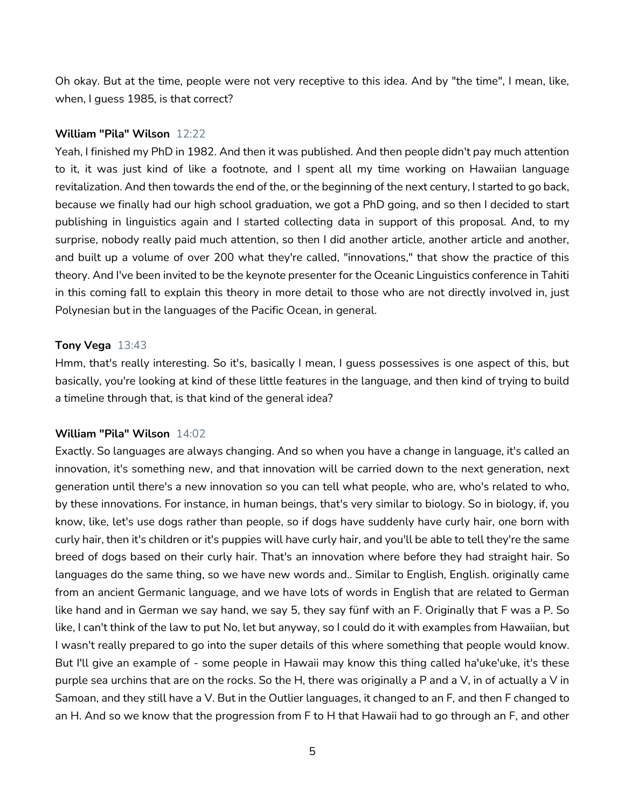Oh okay. But at the time, people were not very receptive to this idea. And by "the time", I mean, like, when, I guess 1985, is that correct?

## **William "Pila" Wilson** 12:22

Yeah, I finished my PhD in 1982. And then it was published. And then people didn't pay much attention to it, it was just kind of like a footnote, and I spent all my time working on Hawaiian language revitalization. And then towards the end of the, or the beginning of the next century, I started to go back, because we finally had our high school graduation, we got a PhD going, and so then I decided to start publishing in linguistics again and I started collecting data in support of this proposal. And, to my surprise, nobody really paid much attention, so then I did another article, another article and another, and built up a volume of over 200 what they're called, "innovations," that show the practice of this theory. And I've been invited to be the keynote presenter for the Oceanic Linguistics conference in Tahiti in this coming fall to explain this theory in more detail to those who are not directly involved in, just Polynesian but in the languages of the Pacific Ocean, in general.

#### **Tony Vega** 13:43

Hmm, that's really interesting. So it's, basically I mean, I guess possessives is one aspect of this, but basically, you're looking at kind of these little features in the language, and then kind of trying to build a timeline through that, is that kind of the general idea?

#### **William "Pila" Wilson** 14:02

Exactly. So languages are always changing. And so when you have a change in language, it's called an innovation, it's something new, and that innovation will be carried down to the next generation, next generation until there's a new innovation so you can tell what people, who are, who's related to who, by these innovations. For instance, in human beings, that's very similar to biology. So in biology, if, you know, like, let's use dogs rather than people, so if dogs have suddenly have curly hair, one born with curly hair, then it's children or it's puppies will have curly hair, and you'll be able to tell they're the same breed of dogs based on their curly hair. That's an innovation where before they had straight hair. So languages do the same thing, so we have new words and.. Similar to English, English. originally came from an ancient Germanic language, and we have lots of words in English that are related to German like hand and in German we say hand, we say 5, they say fünf with an F. Originally that F was a P. So like, I can't think of the law to put No, let but anyway, so I could do it with examples from Hawaiian, but I wasn't really prepared to go into the super details of this where something that people would know. But I'll give an example of - some people in Hawaii may know this thing called ha'uke'uke, it's these purple sea urchins that are on the rocks. So the H, there was originally a P and a V, in of actually a V in Samoan, and they still have a V. But in the Outlier languages, it changed to an F, and then F changed to an H. And so we know that the progression from F to H that Hawaii had to go through an F, and other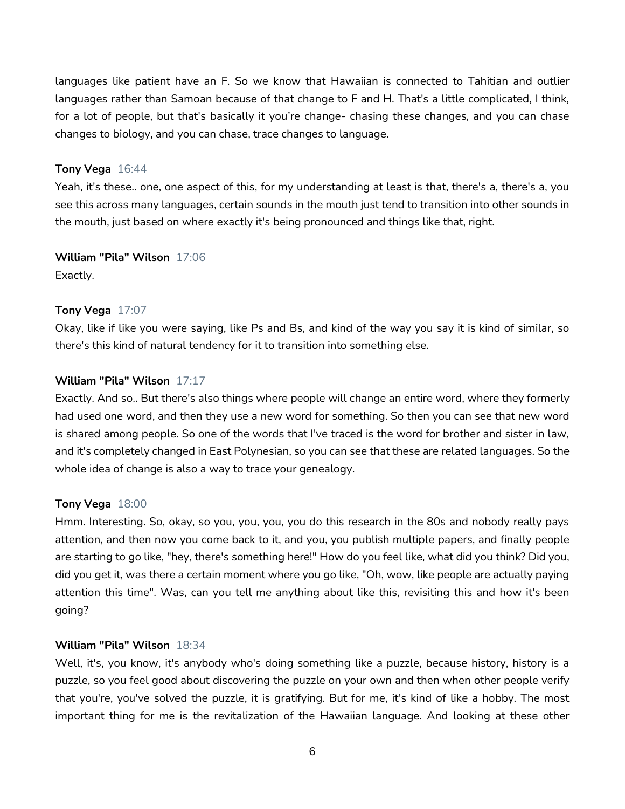languages like patient have an F. So we know that Hawaiian is connected to Tahitian and outlier languages rather than Samoan because of that change to F and H. That's a little complicated, I think, for a lot of people, but that's basically it you're change- chasing these changes, and you can chase changes to biology, and you can chase, trace changes to language.

## **Tony Vega** 16:44

Yeah, it's these.. one, one aspect of this, for my understanding at least is that, there's a, there's a, you see this across many languages, certain sounds in the mouth just tend to transition into other sounds in the mouth, just based on where exactly it's being pronounced and things like that, right.

**William "Pila" Wilson** 17:06

Exactly.

## **Tony Vega** 17:07

Okay, like if like you were saying, like Ps and Bs, and kind of the way you say it is kind of similar, so there's this kind of natural tendency for it to transition into something else.

# **William "Pila" Wilson** 17:17

Exactly. And so.. But there's also things where people will change an entire word, where they formerly had used one word, and then they use a new word for something. So then you can see that new word is shared among people. So one of the words that I've traced is the word for brother and sister in law, and it's completely changed in East Polynesian, so you can see that these are related languages. So the whole idea of change is also a way to trace your genealogy.

## **Tony Vega** 18:00

Hmm. Interesting. So, okay, so you, you, you, you do this research in the 80s and nobody really pays attention, and then now you come back to it, and you, you publish multiple papers, and finally people are starting to go like, "hey, there's something here!" How do you feel like, what did you think? Did you, did you get it, was there a certain moment where you go like, "Oh, wow, like people are actually paying attention this time". Was, can you tell me anything about like this, revisiting this and how it's been going?

## **William "Pila" Wilson** 18:34

Well, it's, you know, it's anybody who's doing something like a puzzle, because history, history is a puzzle, so you feel good about discovering the puzzle on your own and then when other people verify that you're, you've solved the puzzle, it is gratifying. But for me, it's kind of like a hobby. The most important thing for me is the revitalization of the Hawaiian language. And looking at these other